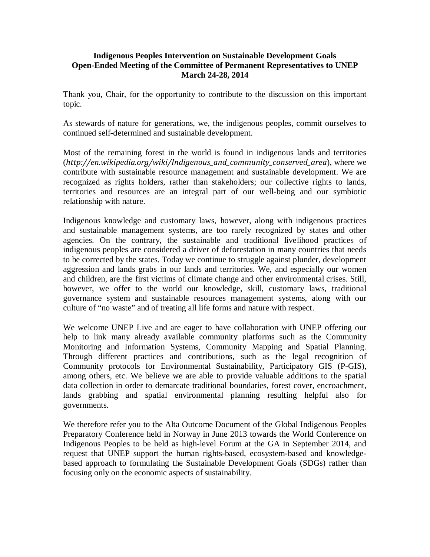## **Indigenous Peoples Intervention on Sustainable Development Goals Open-Ended Meeting of the Committee of Permanent Representatives to UNEP March 24-28, 2014**

Thank you, Chair, for the opportunity to contribute to the discussion on this important topic.

As stewards of nature for generations, we, the indigenous peoples, commit ourselves to continued self-determined and sustainable development.

Most of the remaining forest in the world is found in indigenous lands and territories (http://en.wikipedia.org/wiki/Indigenous\_and\_community\_conserved\_area), where we contribute with sustainable resource management and sustainable development. We are recognized as rights holders, rather than stakeholders; our collective rights to lands, territories and resources are an integral part of our well-being and our symbiotic relationship with nature.

Indigenous knowledge and customary laws, however, along with indigenous practices and sustainable management systems, are too rarely recognized by states and other agencies. On the contrary, the sustainable and traditional livelihood practices of indigenous peoples are considered a driver of deforestation in many countries that needs to be corrected by the states. Today we continue to struggle against plunder, development aggression and lands grabs in our lands and territories. We, and especially our women and children, are the first victims of climate change and other environmental crises. Still, however, we offer to the world our knowledge, skill, customary laws, traditional governance system and sustainable resources management systems, along with our culture of "no waste" and of treating all life forms and nature with respect.

We welcome UNEP Live and are eager to have collaboration with UNEP offering our help to link many already available community platforms such as the Community Monitoring and Information Systems, Community Mapping and Spatial Planning. Through different practices and contributions, such as the legal recognition of Community protocols for Environmental Sustainability, Participatory GIS (P-GIS), among others, etc. We believe we are able to provide valuable additions to the spatial data collection in order to demarcate traditional boundaries, forest cover, encroachment, lands grabbing and spatial environmental planning resulting helpful also for governments.

We therefore refer you to the Alta Outcome Document of the Global Indigenous Peoples Preparatory Conference held in Norway in June 2013 towards the World Conference on Indigenous Peoples to be held as high-level Forum at the GA in September 2014, and request that UNEP support the human rights-based, ecosystem-based and knowledgebased approach to formulating the Sustainable Development Goals (SDGs) rather than focusing only on the economic aspects of sustainability.